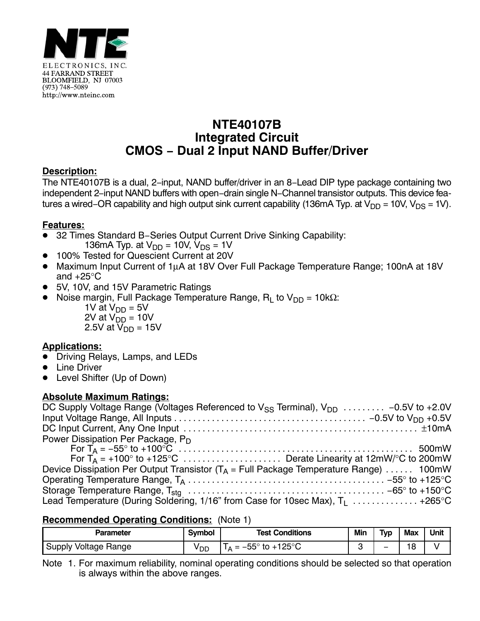

# **NTE40107B Integrated Circuit CMOS − Dual 2 Input NAND Buffer/Driver**

## **Description:**

The NTE40107B is a dual, 2−input, NAND buffer/driver in an 8−Lead DIP type package containing two independent 2−input NAND buffers with open−drain single N−Channel transistor outputs. This device features a wired–OR capability and high output sink current capability (136mA Typ. at V<sub>DD</sub> = 10V, V<sub>DS</sub> = 1V).

## **Features:**

- .<br>• 32 Times Standard B−Series Output Current Drive Sinking Capability:
	- 136mA Typ. at  $V_{DD}$  = 10V,  $V_{DS}$  = 1V
- 100% Tested for Quescient Current at 20V
- Maximum Input Current of 1μA at 18V Over Full Package Temperature Range; 100nA at 18V and +25°C
- 5V, 10V, and 15V Parametric Ratings
- Noise margin, Full Package Temperature Range,  $R_L$  to  $V_{DD} = 10k\Omega$ :
	- 1V at  $V_{DD} = 5V$ 2V at V<sub>DD</sub> = 10V
	- 2.5V at V<sub>DD</sub> = 15V

#### **Applications:**

- <u>- peristence</u><br>● Driving Relays, Lamps, and LEDs
- $\bullet$ Line Driver
- -Level Shifter (Up of Down)

#### **Absolute Maximum Ratings:**

| DC Supply Voltage Range (Voltages Referenced to $V_{SS}$ Terminal), $V_{DD}$ -0.5V to +2.0V |
|---------------------------------------------------------------------------------------------|
|                                                                                             |
|                                                                                             |
| Power Dissipation Per Package, P <sub>D</sub>                                               |
|                                                                                             |
|                                                                                             |
| Device Dissipation Per Output Transistor ( $T_A$ = Full Package Temperature Range)  100mW   |
|                                                                                             |
|                                                                                             |
| Lead Temperature (During Soldering, 1/16" from Case for 10sec Max), $T_1$ +265°C            |

#### **Recommended Operating Conditions:** (Note 1)

| Parameter                      | Symbol | <b>Test Conditions</b>                         | Min | <b>Typ</b> | <b>Max</b> | Unit |
|--------------------------------|--------|------------------------------------------------|-----|------------|------------|------|
| <b>Voltage Range</b><br>Supply | y dd   | $+125^\circ$ C<br>$-55^\circ$<br>to $+$<br>$=$ |     |            | 18         |      |

Note 1. For maximum reliability, nominal operating conditions should be selected so that operation is always within the above ranges.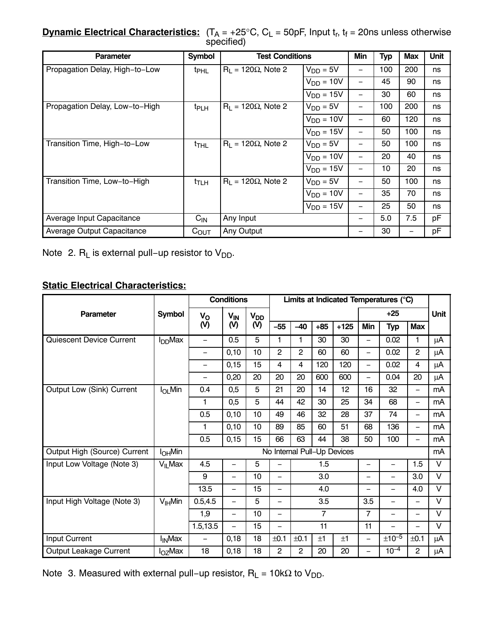**<u>Dynamic Electrical Characteristics:</u>**  $(T_A = +25^{\circ}C, C_L = 50pF,$  **Input t<sub>r</sub>, t<sub>f</sub> = 20ns unless otherwise** specified)

| <b>Parameter</b>               | <b>Symbol</b>    | <b>Test Conditions</b>        | Min            | <b>Typ</b> | <b>Max</b> | Unit |    |
|--------------------------------|------------------|-------------------------------|----------------|------------|------------|------|----|
| Propagation Delay, High-to-Low | $t_{\text{PHL}}$ | $R_1 = 120\Omega$ , Note 2    | $V_{DD} = 5V$  |            | 100        | 200  | ns |
|                                |                  |                               | $V_{DD} = 10V$ |            | 45         | 90   | ns |
|                                |                  |                               | $V_{DD} = 15V$ | —          | 30         | 60   | ns |
| Propagation Delay, Low-to-High | t <sub>PLH</sub> | $R_1 = 120\Omega$ , Note 2    | $V_{DD} = 5V$  |            | 100        | 200  | ns |
|                                |                  |                               | $V_{DD} = 10V$ | —          | 60         | 120  | ns |
|                                |                  |                               | $V_{DD} = 15V$ | —          | 50         | 100  | ns |
| Transition Time, High-to-Low   | $t_{\sf THL}$    | $R_L$ = 120 $\Omega$ , Note 2 | $V_{DD} = 5V$  | —          | 50         | 100  | ns |
|                                |                  |                               | $V_{DD} = 10V$ | -          | 20         | 40   | ns |
|                                |                  |                               | $V_{DD} = 15V$ |            | 10         | 20   | ns |
| Transition Time, Low-to-High   | $t$ TLH          | $R_1 = 120\Omega$ , Note 2    | $V_{DD} = 5V$  | —          | 50         | 100  | ns |
|                                |                  |                               | $V_{DD} = 10V$ |            | 35         | 70   | ns |
|                                |                  |                               | $V_{DD} = 15V$ | —          | 25         | 50   | ns |
| Average Input Capacitance      | $C_{IN}$         | Any Input                     |                | 5.0        | 7.5        | рF   |    |
| Average Output Capacitance     | $C_{\text{OUT}}$ | Any Output                    |                | 30         |            | рF   |    |

Note 2.  $R_L$  is external pull−up resistor to  $V_{DD}$ .

# **Static Electrical Characteristics:**

|                                 |                          | <b>Conditions</b>        |                          |                 | Limits at Indicated Temperatures (°C) |                |                 |                             |                          |                          |                          |                   |
|---------------------------------|--------------------------|--------------------------|--------------------------|-----------------|---------------------------------------|----------------|-----------------|-----------------------------|--------------------------|--------------------------|--------------------------|-------------------|
| <b>Parameter</b>                | <b>Symbol</b>            | $V_{\rm O}$              | $V_{IN}$                 | V <sub>DD</sub> |                                       |                |                 | $+25$                       |                          |                          | Unit                     |                   |
|                                 |                          | (V)                      | (V)                      | (V)             | $-55$                                 | $-40$          | $+85$           | $+125$                      | Min                      | <b>Typ</b>               | <b>Max</b>               |                   |
| <b>Quiescent Device Current</b> | $I_{DD}$ Max             |                          | 0.5                      | 5               | 1                                     | 1              | 30              | 30                          | $\qquad \qquad -$        | 0.02                     | 1                        | μA                |
|                                 |                          | $\overline{\phantom{0}}$ | 0,10                     | 10              | 2                                     | $\overline{2}$ | 60              | 60                          | $\overline{\phantom{0}}$ | 0.02                     | $\overline{2}$           | μA                |
|                                 |                          |                          | 0,15                     | 15              | 4                                     | 4              | 120             | 120                         | -                        | 0.02                     | 4                        | μA                |
|                                 |                          | $\overline{\phantom{0}}$ | 0,20                     | 20              | 20                                    | 20             | 600             | 600                         | $\qquad \qquad -$        | 0.04                     | 20                       | μA                |
| Output Low (Sink) Current       | $I_{OL}$ Min             | 0.4                      | 0,5                      | 5               | 21                                    | 20             | 14              | 12                          | 16                       | 32                       | $\overline{\phantom{m}}$ | mA                |
|                                 |                          | 1                        | 0,5                      | 5               | 44                                    | 42             | 30              | 25                          | 34                       | 68                       | -                        | mA                |
|                                 |                          | 0.5                      | 0,10                     | 10              | 49                                    | 46             | 32              | 28                          | 37                       | 74                       | $\overline{\phantom{m}}$ | mA                |
|                                 |                          | 1                        | 0,10                     | 10              | 89                                    | 85             | 60              | 51                          | 68                       | 136                      | $\overline{\phantom{0}}$ | mA                |
|                                 |                          | 0.5                      | 0,15                     | 15              | 66                                    | 63             | 44              | 38                          | 50                       | 100                      | $\overline{\phantom{0}}$ | mA                |
| Output High (Source) Current    | I <sub>OH</sub> Min      |                          |                          |                 |                                       |                |                 | No Internal Pull-Up Devices |                          |                          |                          | mA                |
| Input Low Voltage (Note 3)      | $V_{IL}$ Max             | 4.5                      |                          | 5               |                                       |                | 1.5             |                             |                          | $\overline{\phantom{0}}$ | 1.5                      | $\vee$            |
|                                 |                          | 9                        | $\overline{\phantom{0}}$ | 10              | $\qquad \qquad -$                     |                | 3.0             |                             | $\qquad \qquad -$        | $\overline{\phantom{0}}$ | 3.0                      | $\vee$            |
|                                 |                          | 13.5                     | $\equiv$                 | 15              |                                       |                | 4.0             |                             | -                        | $\overline{\phantom{0}}$ | 4.0                      | $\overline{\vee}$ |
| Input High Voltage (Note 3)     | $V_{\text{IH}}$ Min      | 0.5, 4.5                 | $\overline{\phantom{0}}$ | 5               | $\overline{\phantom{0}}$              |                | 3.5             |                             | 3.5                      | $\overline{\phantom{0}}$ |                          | $\vee$            |
|                                 |                          | 1,9                      | $\equiv$                 | 10              | $\overline{\phantom{0}}$              |                | $\overline{7}$  |                             | $\overline{7}$           | $\overline{\phantom{0}}$ | $\overline{\phantom{0}}$ | $\vee$            |
|                                 |                          | 1.5, 13.5                | $\overline{\phantom{0}}$ | 15              | —                                     |                | $\overline{11}$ |                             | 11                       | $\overline{\phantom{0}}$ |                          | $\overline{\vee}$ |
| Input Current                   | <b>I<sub>IN</sub>Max</b> | -                        | 0,18                     | 18              | ±0.1                                  | ±0.1           | ±1              | ±1                          | $\qquad \qquad -$        | $±10^{-5}$               | ±0.1                     | μA                |
| Output Leakage Current          | l <sub>OZ</sub> Max      | 18                       | 0,18                     | 18              | $\overline{2}$                        | $\overline{2}$ | 20              | 20                          | $\qquad \qquad -$        | $10^{-4}$                | $\overline{2}$           | μA                |

Note 3. Measured with external pull−up resistor,  $R_L = 10kΩ$  to V<sub>DD</sub>.